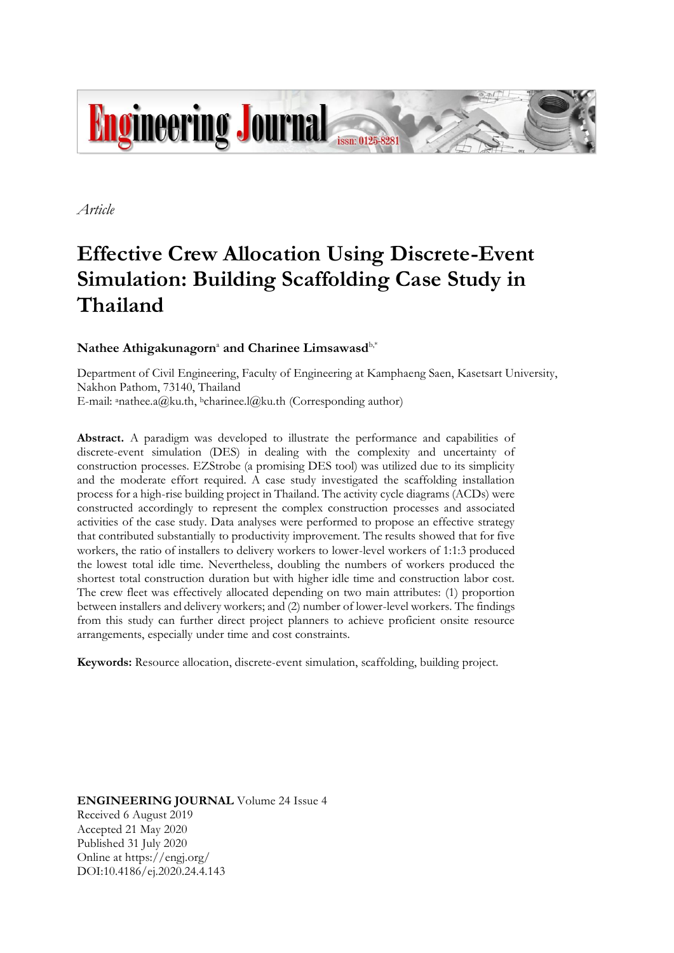

*Article*

# **Effective Crew Allocation Using Discrete-Event Simulation: Building Scaffolding Case Study in Thailand**

# **Nathee Athigakunagorn**<sup>a</sup> **and Charinee Limsawasd**b,\*

Department of Civil Engineering, Faculty of Engineering at Kamphaeng Saen, Kasetsart University, Nakhon Pathom, 73140, Thailand E-mail: <sup>a</sup>nathee.a@ku.th, <sup>b</sup>charinee.l@ku.th (Corresponding author)

**Abstract.** A paradigm was developed to illustrate the performance and capabilities of discrete-event simulation (DES) in dealing with the complexity and uncertainty of construction processes. EZStrobe (a promising DES tool) was utilized due to its simplicity and the moderate effort required. A case study investigated the scaffolding installation process for a high-rise building project in Thailand. The activity cycle diagrams (ACDs) were constructed accordingly to represent the complex construction processes and associated activities of the case study. Data analyses were performed to propose an effective strategy that contributed substantially to productivity improvement. The results showed that for five workers, the ratio of installers to delivery workers to lower-level workers of 1:1:3 produced the lowest total idle time. Nevertheless, doubling the numbers of workers produced the shortest total construction duration but with higher idle time and construction labor cost. The crew fleet was effectively allocated depending on two main attributes: (1) proportion between installers and delivery workers; and (2) number of lower-level workers. The findings from this study can further direct project planners to achieve proficient onsite resource arrangements, especially under time and cost constraints.

**Keywords:** Resource allocation, discrete-event simulation, scaffolding, building project.

**ENGINEERING JOURNAL** Volume 24 Issue 4 Received 6 August 2019 Accepted 21 May 2020 Published 31 July 2020 Online at https://engj.org/ DOI:10.4186/ej.2020.24.4.143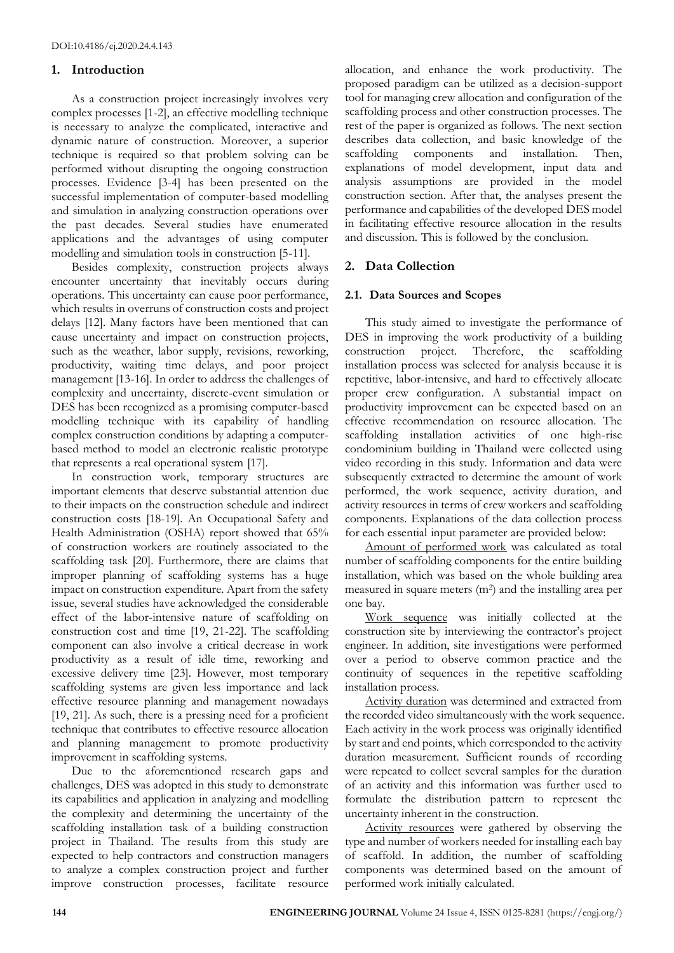## **1. Introduction**

As a construction project increasingly involves very complex processes [1-2], an effective modelling technique is necessary to analyze the complicated, interactive and dynamic nature of construction. Moreover, a superior technique is required so that problem solving can be performed without disrupting the ongoing construction processes. Evidence [3-4] has been presented on the successful implementation of computer-based modelling and simulation in analyzing construction operations over the past decades. Several studies have enumerated applications and the advantages of using computer modelling and simulation tools in construction [5-11].

Besides complexity, construction projects always encounter uncertainty that inevitably occurs during operations. This uncertainty can cause poor performance, which results in overruns of construction costs and project delays [12]. Many factors have been mentioned that can cause uncertainty and impact on construction projects, such as the weather, labor supply, revisions, reworking, productivity, waiting time delays, and poor project management [13-16]. In order to address the challenges of complexity and uncertainty, discrete-event simulation or DES has been recognized as a promising computer-based modelling technique with its capability of handling complex construction conditions by adapting a computerbased method to model an electronic realistic prototype that represents a real operational system [17].

In construction work, temporary structures are important elements that deserve substantial attention due to their impacts on the construction schedule and indirect construction costs [18-19]. An Occupational Safety and Health Administration (OSHA) report showed that 65% of construction workers are routinely associated to the scaffolding task [20]. Furthermore, there are claims that improper planning of scaffolding systems has a huge impact on construction expenditure. Apart from the safety issue, several studies have acknowledged the considerable effect of the labor-intensive nature of scaffolding on construction cost and time [19, 21-22]. The scaffolding component can also involve a critical decrease in work productivity as a result of idle time, reworking and excessive delivery time [23]. However, most temporary scaffolding systems are given less importance and lack effective resource planning and management nowadays [19, 21]. As such, there is a pressing need for a proficient technique that contributes to effective resource allocation and planning management to promote productivity improvement in scaffolding systems.

Due to the aforementioned research gaps and challenges, DES was adopted in this study to demonstrate its capabilities and application in analyzing and modelling the complexity and determining the uncertainty of the scaffolding installation task of a building construction project in Thailand. The results from this study are expected to help contractors and construction managers to analyze a complex construction project and further improve construction processes, facilitate resource allocation, and enhance the work productivity. The proposed paradigm can be utilized as a decision-support tool for managing crew allocation and configuration of the scaffolding process and other construction processes. The rest of the paper is organized as follows. The next section describes data collection, and basic knowledge of the scaffolding components and installation. Then, explanations of model development, input data and analysis assumptions are provided in the model construction section. After that, the analyses present the performance and capabilities of the developed DES model in facilitating effective resource allocation in the results and discussion. This is followed by the conclusion.

## **2. Data Collection**

## **2.1. Data Sources and Scopes**

This study aimed to investigate the performance of DES in improving the work productivity of a building construction project. Therefore, the scaffolding installation process was selected for analysis because it is repetitive, labor-intensive, and hard to effectively allocate proper crew configuration. A substantial impact on productivity improvement can be expected based on an effective recommendation on resource allocation. The scaffolding installation activities of one high-rise condominium building in Thailand were collected using video recording in this study. Information and data were subsequently extracted to determine the amount of work performed, the work sequence, activity duration, and activity resources in terms of crew workers and scaffolding components. Explanations of the data collection process for each essential input parameter are provided below:

Amount of performed work was calculated as total number of scaffolding components for the entire building installation, which was based on the whole building area measured in square meters (m<sup>2</sup> ) and the installing area per one bay.

Work sequence was initially collected at the construction site by interviewing the contractor's project engineer. In addition, site investigations were performed over a period to observe common practice and the continuity of sequences in the repetitive scaffolding installation process.

Activity duration was determined and extracted from the recorded video simultaneously with the work sequence. Each activity in the work process was originally identified by start and end points, which corresponded to the activity duration measurement. Sufficient rounds of recording were repeated to collect several samples for the duration of an activity and this information was further used to formulate the distribution pattern to represent the uncertainty inherent in the construction.

Activity resources were gathered by observing the type and number of workers needed for installing each bay of scaffold. In addition, the number of scaffolding components was determined based on the amount of performed work initially calculated.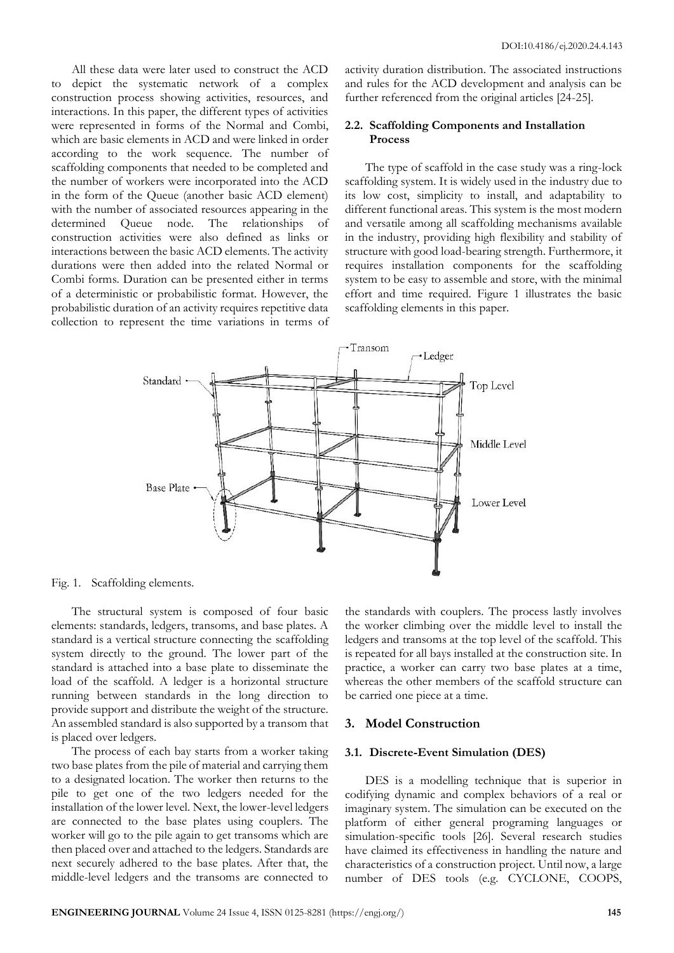All these data were later used to construct the ACD to depict the systematic network of a complex construction process showing activities, resources, and interactions. In this paper, the different types of activities were represented in forms of the Normal and Combi, which are basic elements in ACD and were linked in order according to the work sequence. The number of scaffolding components that needed to be completed and the number of workers were incorporated into the ACD in the form of the Queue (another basic ACD element) with the number of associated resources appearing in the determined Queue node. The relationships of construction activities were also defined as links or interactions between the basic ACD elements. The activity durations were then added into the related Normal or Combi forms. Duration can be presented either in terms of a deterministic or probabilistic format. However, the probabilistic duration of an activity requires repetitive data collection to represent the time variations in terms of activity duration distribution. The associated instructions and rules for the ACD development and analysis can be further referenced from the original articles [24-25].

## **2.2. Scaffolding Components and Installation Process**

The type of scaffold in the case study was a ring-lock scaffolding system. It is widely used in the industry due to its low cost, simplicity to install, and adaptability to different functional areas. This system is the most modern and versatile among all scaffolding mechanisms available in the industry, providing high flexibility and stability of structure with good load-bearing strength. Furthermore, it requires installation components for the scaffolding system to be easy to assemble and store, with the minimal effort and time required. Figure 1 illustrates the basic scaffolding elements in this paper.



Fig. 1. Scaffolding elements.

The structural system is composed of four basic elements: standards, ledgers, transoms, and base plates. A standard is a vertical structure connecting the scaffolding system directly to the ground. The lower part of the standard is attached into a base plate to disseminate the load of the scaffold. A ledger is a horizontal structure running between standards in the long direction to provide support and distribute the weight of the structure. An assembled standard is also supported by a transom that is placed over ledgers.

The process of each bay starts from a worker taking two base plates from the pile of material and carrying them to a designated location. The worker then returns to the pile to get one of the two ledgers needed for the installation of the lower level. Next, the lower-level ledgers are connected to the base plates using couplers. The worker will go to the pile again to get transoms which are then placed over and attached to the ledgers. Standards are next securely adhered to the base plates. After that, the middle-level ledgers and the transoms are connected to

the standards with couplers. The process lastly involves the worker climbing over the middle level to install the ledgers and transoms at the top level of the scaffold. This is repeated for all bays installed at the construction site. In practice, a worker can carry two base plates at a time, whereas the other members of the scaffold structure can be carried one piece at a time.

#### **3. Model Construction**

#### **3.1. Discrete-Event Simulation (DES)**

DES is a modelling technique that is superior in codifying dynamic and complex behaviors of a real or imaginary system. The simulation can be executed on the platform of either general programing languages or simulation-specific tools [26]. Several research studies have claimed its effectiveness in handling the nature and characteristics of a construction project. Until now, a large number of DES tools (e.g. CYCLONE, COOPS,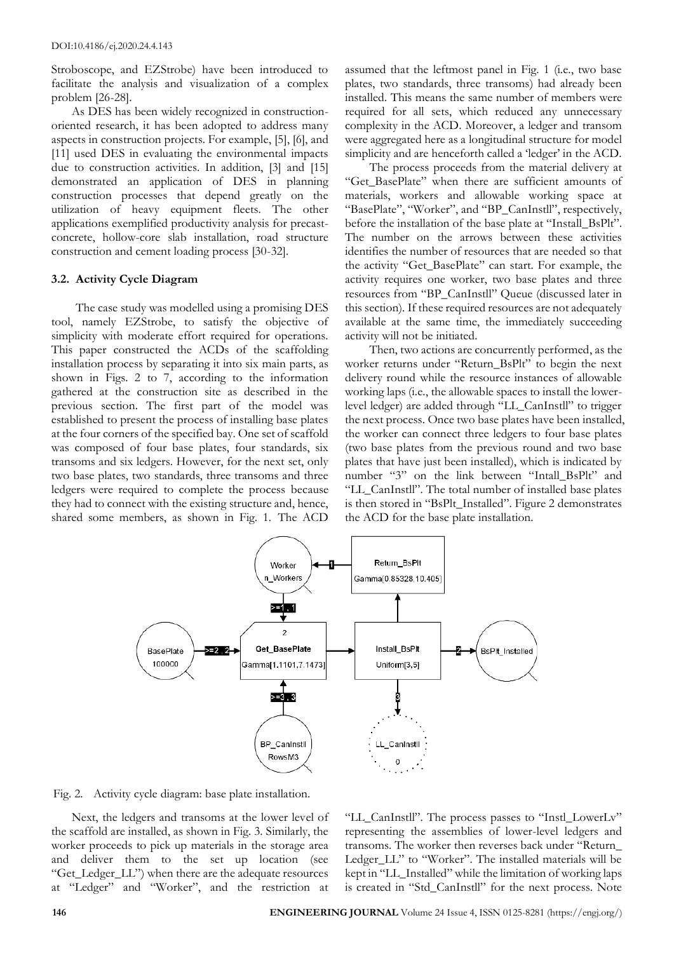Stroboscope, and EZStrobe) have been introduced to facilitate the analysis and visualization of a complex problem [26-28].

As DES has been widely recognized in constructionoriented research, it has been adopted to address many aspects in construction projects. For example, [5], [6], and [11] used DES in evaluating the environmental impacts due to construction activities. In addition, [3] and [15] demonstrated an application of DES in planning construction processes that depend greatly on the utilization of heavy equipment fleets. The other applications exemplified productivity analysis for precastconcrete, hollow-core slab installation, road structure construction and cement loading process [30-32].

## **3.2. Activity Cycle Diagram**

The case study was modelled using a promising DES tool, namely EZStrobe, to satisfy the objective of simplicity with moderate effort required for operations. This paper constructed the ACDs of the scaffolding installation process by separating it into six main parts, as shown in Figs. 2 to 7, according to the information gathered at the construction site as described in the previous section. The first part of the model was established to present the process of installing base plates at the four corners of the specified bay. One set of scaffold was composed of four base plates, four standards, six transoms and six ledgers. However, for the next set, only two base plates, two standards, three transoms and three ledgers were required to complete the process because they had to connect with the existing structure and, hence, shared some members, as shown in Fig. 1. The ACD

assumed that the leftmost panel in Fig. 1 (i.e., two base plates, two standards, three transoms) had already been installed. This means the same number of members were required for all sets, which reduced any unnecessary complexity in the ACD. Moreover, a ledger and transom were aggregated here as a longitudinal structure for model simplicity and are henceforth called a 'ledger' in the ACD.

The process proceeds from the material delivery at "Get\_BasePlate" when there are sufficient amounts of materials, workers and allowable working space at "BasePlate", "Worker", and "BP\_CanInstll", respectively, before the installation of the base plate at "Install\_BsPlt". The number on the arrows between these activities identifies the number of resources that are needed so that the activity "Get\_BasePlate" can start. For example, the activity requires one worker, two base plates and three resources from "BP\_CanInstll" Queue (discussed later in this section). If these required resources are not adequately available at the same time, the immediately succeeding activity will not be initiated.

Then, two actions are concurrently performed, as the worker returns under "Return\_BsPlt" to begin the next delivery round while the resource instances of allowable working laps (i.e., the allowable spaces to install the lowerlevel ledger) are added through "LL\_CanInstll" to trigger the next process. Once two base plates have been installed, the worker can connect three ledgers to four base plates (two base plates from the previous round and two base plates that have just been installed), which is indicated by number "3" on the link between "Intall\_BsPlt" and "LL\_CanInstll". The total number of installed base plates is then stored in "BsPlt\_Installed". Figure 2 demonstrates the ACD for the base plate installation.



Fig. 2. Activity cycle diagram: base plate installation.

Next, the ledgers and transoms at the lower level of the scaffold are installed, as shown in Fig. 3. Similarly, the worker proceeds to pick up materials in the storage area and deliver them to the set up location (see "Get\_Ledger\_LL") when there are the adequate resources at "Ledger" and "Worker", and the restriction at

"LL\_CanInstll". The process passes to "Instl\_LowerLv" representing the assemblies of lower-level ledgers and transoms. The worker then reverses back under "Return\_ Ledger\_LL" to "Worker". The installed materials will be kept in "LL\_Installed" while the limitation of working laps is created in "Std\_CanInstll" for the next process. Note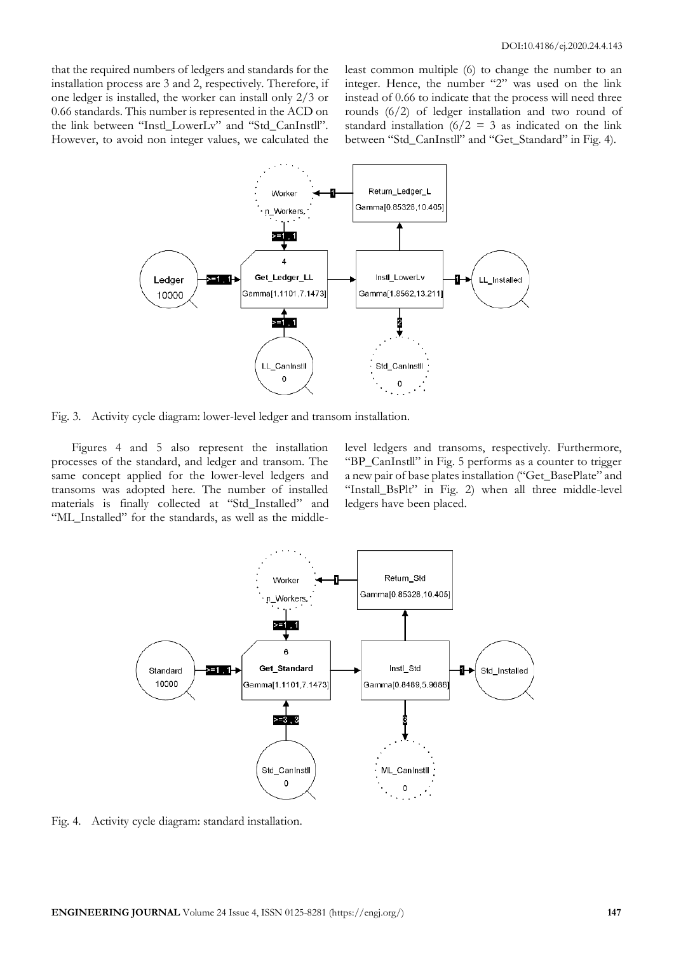that the required numbers of ledgers and standards for the installation process are 3 and 2, respectively. Therefore, if one ledger is installed, the worker can install only 2/3 or 0.66 standards. This number is represented in the ACD on the link between "Instl\_LowerLv" and "Std\_CanInstll". However, to avoid non integer values, we calculated the least common multiple (6) to change the number to an integer. Hence, the number "2" was used on the link instead of 0.66 to indicate that the process will need three rounds (6/2) of ledger installation and two round of standard installation  $(6/2 = 3$  as indicated on the link between "Std\_CanInstll" and "Get\_Standard" in Fig. 4).



Fig. 3. Activity cycle diagram: lower-level ledger and transom installation.

Figures 4 and 5 also represent the installation processes of the standard, and ledger and transom. The same concept applied for the lower-level ledgers and transoms was adopted here. The number of installed materials is finally collected at "Std\_Installed" and "ML\_Installed" for the standards, as well as the middlelevel ledgers and transoms, respectively. Furthermore, "BP\_CanInstll" in Fig. 5 performs as a counter to trigger a new pair of base plates installation ("Get\_BasePlate" and "Install\_BsPlt" in Fig. 2) when all three middle-level ledgers have been placed.



Fig. 4. Activity cycle diagram: standard installation.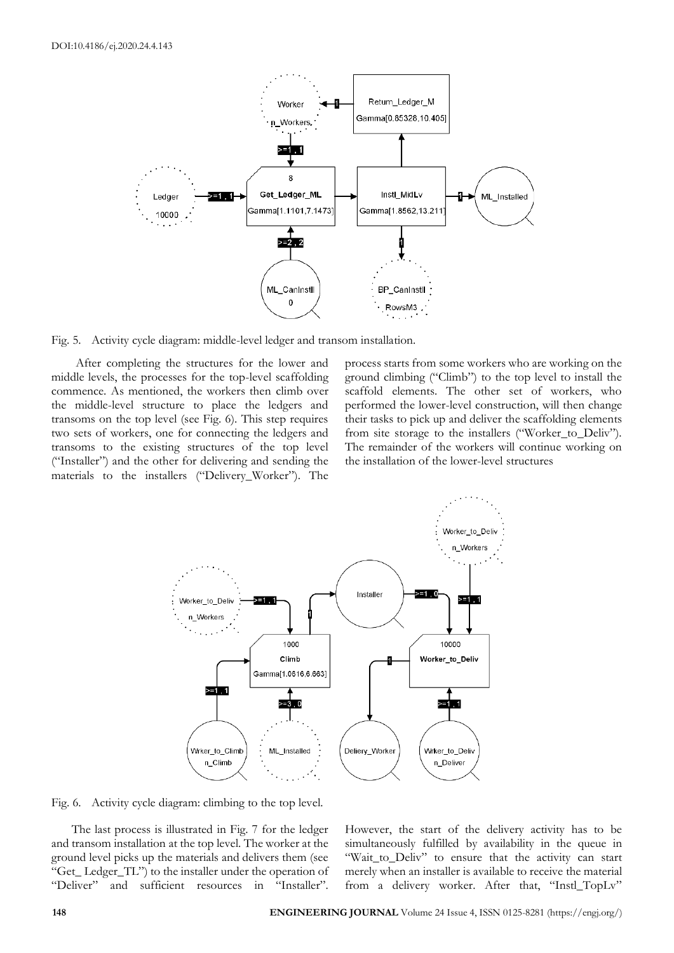

Fig. 5. Activity cycle diagram: middle-level ledger and transom installation.

After completing the structures for the lower and middle levels, the processes for the top-level scaffolding commence. As mentioned, the workers then climb over the middle-level structure to place the ledgers and transoms on the top level (see Fig. 6). This step requires two sets of workers, one for connecting the ledgers and transoms to the existing structures of the top level ("Installer") and the other for delivering and sending the materials to the installers ("Delivery\_Worker"). The

process starts from some workers who are working on the ground climbing ("Climb") to the top level to install the scaffold elements. The other set of workers, who performed the lower-level construction, will then change their tasks to pick up and deliver the scaffolding elements from site storage to the installers ("Worker\_to\_Deliv"). The remainder of the workers will continue working on the installation of the lower-level structures



Fig. 6. Activity cycle diagram: climbing to the top level.

The last process is illustrated in Fig. 7 for the ledger and transom installation at the top level. The worker at the ground level picks up the materials and delivers them (see "Get\_ Ledger\_TL") to the installer under the operation of "Deliver" and sufficient resources in "Installer".

However, the start of the delivery activity has to be simultaneously fulfilled by availability in the queue in "Wait\_to\_Deliv" to ensure that the activity can start merely when an installer is available to receive the material from a delivery worker. After that, "Instl\_TopLv"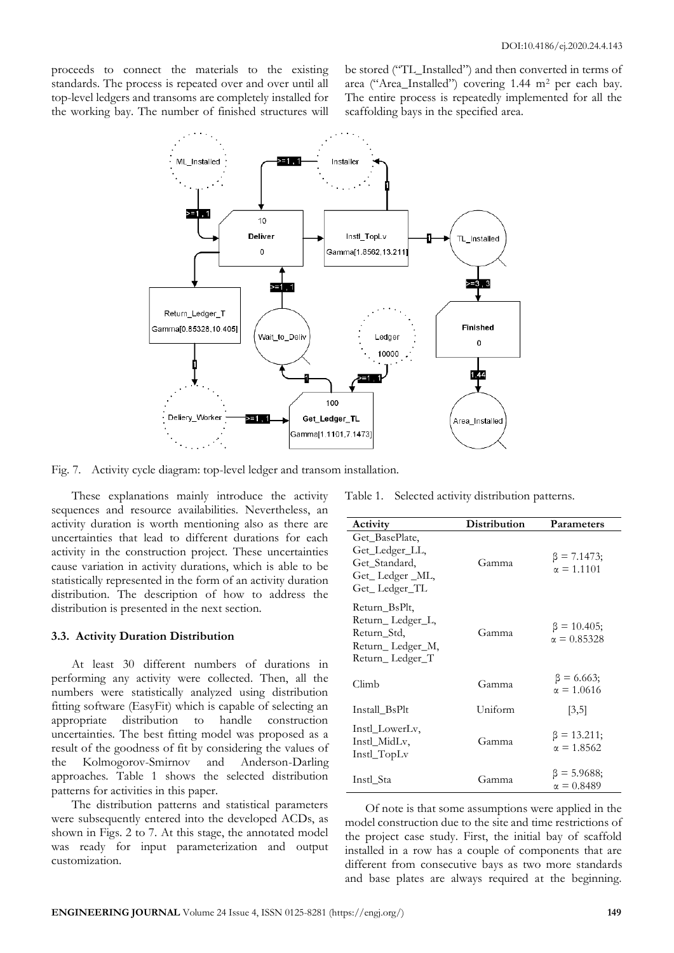proceeds to connect the materials to the existing standards. The process is repeated over and over until all top-level ledgers and transoms are completely installed for the working bay. The number of finished structures will be stored ("TL\_Installed") and then converted in terms of area ("Area\_Installed") covering 1.44 m<sup>2</sup> per each bay. The entire process is repeatedly implemented for all the scaffolding bays in the specified area.



Fig. 7. Activity cycle diagram: top-level ledger and transom installation.

These explanations mainly introduce the activity sequences and resource availabilities. Nevertheless, an activity duration is worth mentioning also as there are uncertainties that lead to different durations for each activity in the construction project. These uncertainties cause variation in activity durations, which is able to be statistically represented in the form of an activity duration distribution. The description of how to address the distribution is presented in the next section.

#### **3.3. Activity Duration Distribution**

At least 30 different numbers of durations in performing any activity were collected. Then, all the numbers were statistically analyzed using distribution fitting software (EasyFit) which is capable of selecting an appropriate distribution to handle construction uncertainties. The best fitting model was proposed as a result of the goodness of fit by considering the values of the Kolmogorov-Smirnov and Anderson-Darling approaches. Table 1 shows the selected distribution patterns for activities in this paper.

The distribution patterns and statistical parameters were subsequently entered into the developed ACDs, as shown in Figs. 2 to 7. At this stage, the annotated model was ready for input parameterization and output customization.

Table 1. Selected activity distribution patterns.

| Activity                                                                                | Distribution | Parameters                              |
|-----------------------------------------------------------------------------------------|--------------|-----------------------------------------|
| Get BasePlate,<br>Get_Ledger_LL,<br>Get_Standard,<br>Get_Ledger_ML,<br>Get_Ledger_TL    | Gamma        | $\beta = 7.1473;$<br>$\alpha = 1.1101$  |
| Return_BsPlt,<br>Return_Ledger_L,<br>Return_Std,<br>Return_Ledger_M,<br>Return_Ledger_T | Gamma        | $\beta = 10.405;$<br>$\alpha = 0.85328$ |
| Climb                                                                                   | Gamma        | $\beta = 6.663;$<br>$\alpha = 1.0616$   |
| Install BsPlt                                                                           | Uniform      | [3,5]                                   |
| Instl LowerLv,<br>Instl_MidLv,<br>Instl_TopLv                                           | Gamma        | $\beta = 13.211;$<br>$\alpha = 1.8562$  |
| Instl_Sta                                                                               | Gamma        | $\beta = 5.9688;$<br>$\alpha = 0.8489$  |

Of note is that some assumptions were applied in the model construction due to the site and time restrictions of the project case study. First, the initial bay of scaffold installed in a row has a couple of components that are different from consecutive bays as two more standards and base plates are always required at the beginning.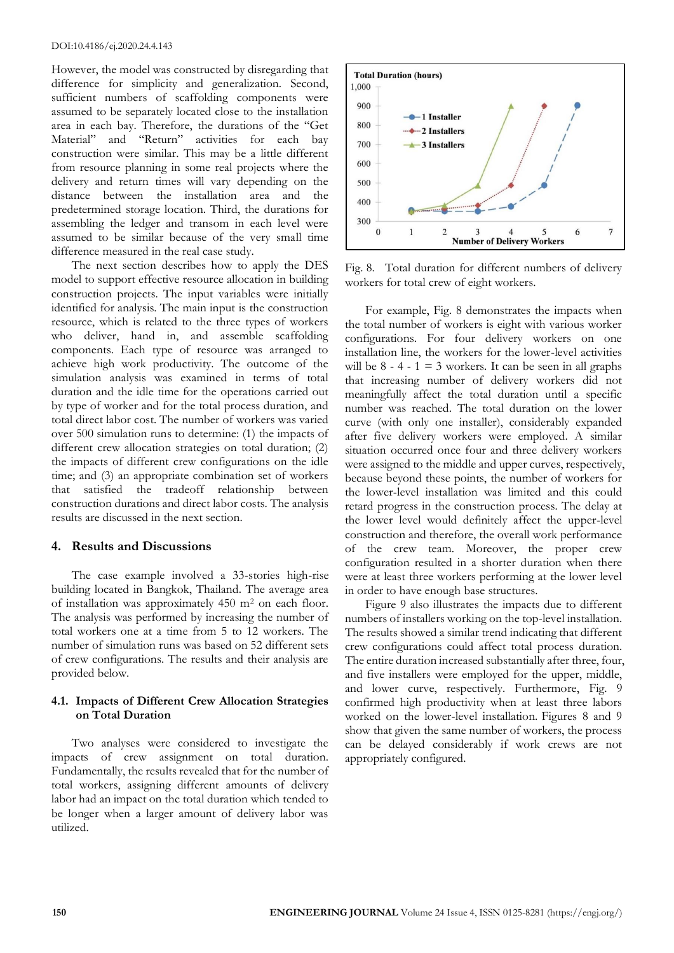However, the model was constructed by disregarding that difference for simplicity and generalization. Second, sufficient numbers of scaffolding components were assumed to be separately located close to the installation area in each bay. Therefore, the durations of the "Get Material" and "Return" activities for each bay construction were similar. This may be a little different from resource planning in some real projects where the delivery and return times will vary depending on the distance between the installation area and the predetermined storage location. Third, the durations for assembling the ledger and transom in each level were assumed to be similar because of the very small time difference measured in the real case study.

The next section describes how to apply the DES model to support effective resource allocation in building construction projects. The input variables were initially identified for analysis. The main input is the construction resource, which is related to the three types of workers who deliver, hand in, and assemble scaffolding components. Each type of resource was arranged to achieve high work productivity. The outcome of the simulation analysis was examined in terms of total duration and the idle time for the operations carried out by type of worker and for the total process duration, and total direct labor cost. The number of workers was varied over 500 simulation runs to determine: (1) the impacts of different crew allocation strategies on total duration; (2) the impacts of different crew configurations on the idle time; and (3) an appropriate combination set of workers that satisfied the tradeoff relationship between construction durations and direct labor costs. The analysis results are discussed in the next section.

#### **4. Results and Discussions**

The case example involved a 33-stories high-rise building located in Bangkok, Thailand. The average area of installation was approximately 450 m<sup>2</sup> on each floor. The analysis was performed by increasing the number of total workers one at a time from 5 to 12 workers. The number of simulation runs was based on 52 different sets of crew configurations. The results and their analysis are provided below.

## **4.1. Impacts of Different Crew Allocation Strategies on Total Duration**

Two analyses were considered to investigate the impacts of crew assignment on total duration. Fundamentally, the results revealed that for the number of total workers, assigning different amounts of delivery labor had an impact on the total duration which tended to be longer when a larger amount of delivery labor was utilized.



Fig. 8. Total duration for different numbers of delivery workers for total crew of eight workers.

For example, Fig. 8 demonstrates the impacts when the total number of workers is eight with various worker configurations. For four delivery workers on one installation line, the workers for the lower-level activities will be  $8 - 4 - 1 = 3$  workers. It can be seen in all graphs that increasing number of delivery workers did not meaningfully affect the total duration until a specific number was reached. The total duration on the lower curve (with only one installer), considerably expanded after five delivery workers were employed. A similar situation occurred once four and three delivery workers were assigned to the middle and upper curves, respectively, because beyond these points, the number of workers for the lower-level installation was limited and this could retard progress in the construction process. The delay at the lower level would definitely affect the upper-level construction and therefore, the overall work performance of the crew team. Moreover, the proper crew configuration resulted in a shorter duration when there were at least three workers performing at the lower level in order to have enough base structures.

Figure 9 also illustrates the impacts due to different numbers of installers working on the top-level installation. The results showed a similar trend indicating that different crew configurations could affect total process duration. The entire duration increased substantially after three, four, and five installers were employed for the upper, middle, and lower curve, respectively. Furthermore, Fig. 9 confirmed high productivity when at least three labors worked on the lower-level installation. Figures 8 and 9 show that given the same number of workers, the process can be delayed considerably if work crews are not appropriately configured.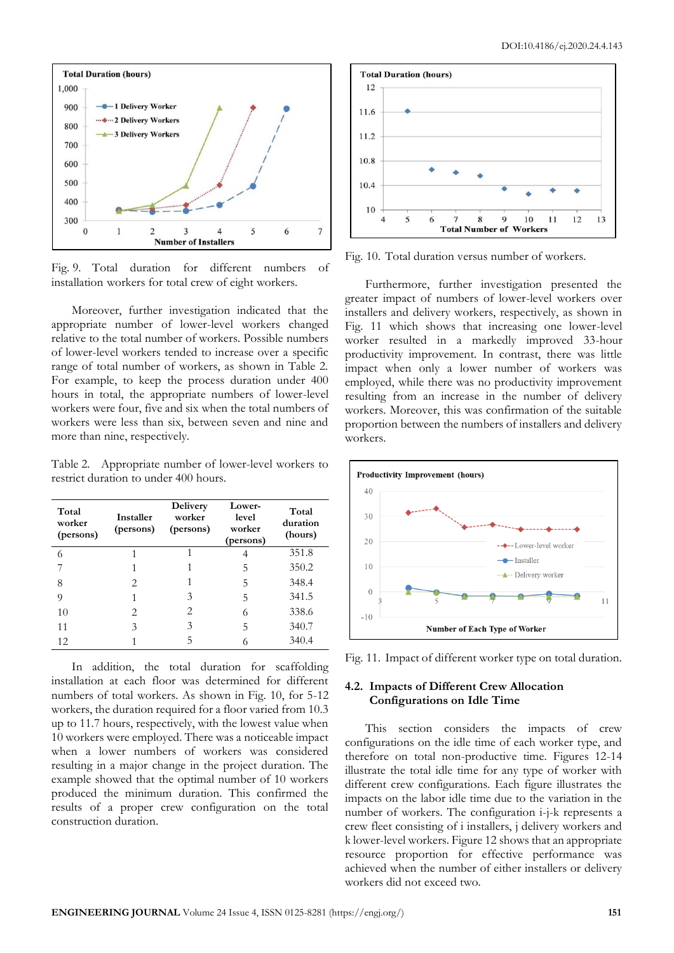

Fig. 9. Total duration for different numbers of installation workers for total crew of eight workers.

Moreover, further investigation indicated that the appropriate number of lower-level workers changed relative to the total number of workers. Possible numbers of lower-level workers tended to increase over a specific range of total number of workers, as shown in Table 2. For example, to keep the process duration under 400 hours in total, the appropriate numbers of lower-level workers were four, five and six when the total numbers of workers were less than six, between seven and nine and more than nine, respectively.

Table 2. Appropriate number of lower-level workers to restrict duration to under 400 hours.

| Total<br>worker<br>(persons) | Installer<br>(persons) | <b>Delivery</b><br>worker<br>(persons) | Lower-<br>level<br>worker<br>(persons) | Total<br>duration<br>(hours) |
|------------------------------|------------------------|----------------------------------------|----------------------------------------|------------------------------|
| 6                            |                        |                                        |                                        | 351.8                        |
|                              |                        |                                        | 5                                      | 350.2                        |
| 8                            | 2                      |                                        | 5                                      | 348.4                        |
| 9                            | 1                      | 3                                      | 5                                      | 341.5                        |
| 10                           | 2                      | 2                                      | 6                                      | 338.6                        |
| 11                           | 3                      | 3                                      | 5                                      | 340.7                        |
| 12                           |                        |                                        |                                        | 340.4                        |

In addition, the total duration for scaffolding installation at each floor was determined for different numbers of total workers. As shown in Fig. 10, for 5-12 workers, the duration required for a floor varied from 10.3 up to 11.7 hours, respectively, with the lowest value when 10 workers were employed. There was a noticeable impact when a lower numbers of workers was considered resulting in a major change in the project duration. The example showed that the optimal number of 10 workers produced the minimum duration. This confirmed the results of a proper crew configuration on the total construction duration.



Fig. 10. Total duration versus number of workers.

Furthermore, further investigation presented the greater impact of numbers of lower-level workers over installers and delivery workers, respectively, as shown in Fig. 11 which shows that increasing one lower-level worker resulted in a markedly improved 33-hour productivity improvement. In contrast, there was little impact when only a lower number of workers was employed, while there was no productivity improvement resulting from an increase in the number of delivery workers. Moreover, this was confirmation of the suitable proportion between the numbers of installers and delivery workers.





## **4.2. Impacts of Different Crew Allocation Configurations on Idle Time**

This section considers the impacts of crew configurations on the idle time of each worker type, and therefore on total non-productive time. Figures 12-14 illustrate the total idle time for any type of worker with different crew configurations. Each figure illustrates the impacts on the labor idle time due to the variation in the number of workers. The configuration i-j-k represents a crew fleet consisting of i installers, j delivery workers and k lower-level workers. Figure 12 shows that an appropriate resource proportion for effective performance was achieved when the number of either installers or delivery workers did not exceed two.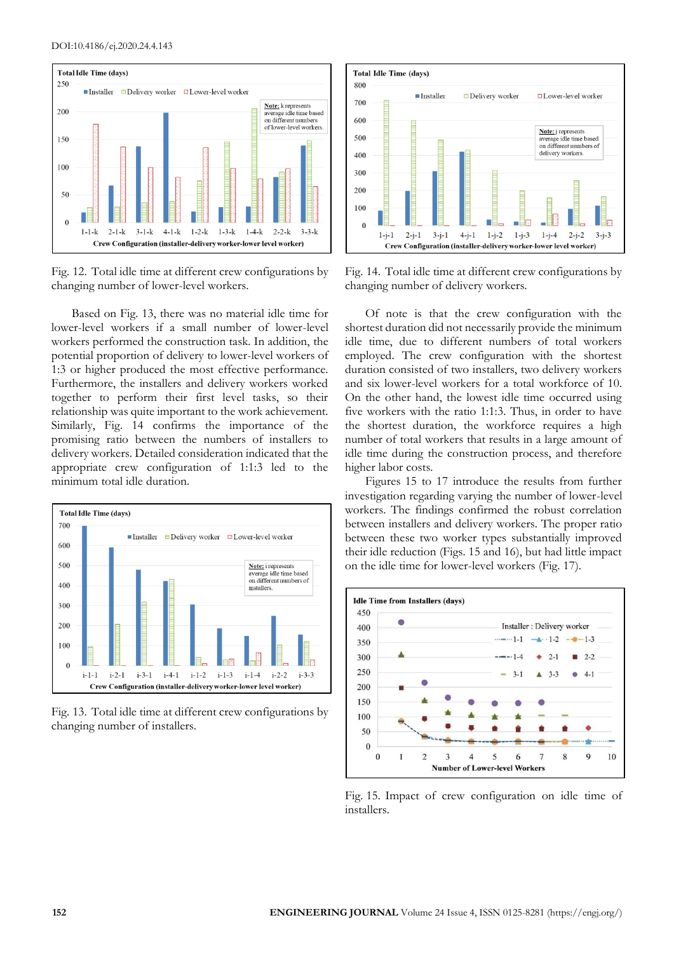

Fig. 12. Total idle time at different crew configurations by changing number of lower-level workers.

Based on Fig. 13, there was no material idle time for lower-level workers if a small number of lower-level workers performed the construction task. In addition, the potential proportion of delivery to lower-level workers of 1:3 or higher produced the most effective performance. Furthermore, the installers and delivery workers worked together to perform their first level tasks, so their relationship was quite important to the work achievement. Similarly, Fig. 14 confirms the importance of the promising ratio between the numbers of installers to delivery workers. Detailed consideration indicated that the appropriate crew configuration of 1:1:3 led to the minimum total idle duration.



Fig. 13. Total idle time at different crew configurations by changing number of installers.



Fig. 14. Total idle time at different crew configurations by changing number of delivery workers.

Of note is that the crew configuration with the shortest duration did not necessarily provide the minimum idle time, due to different numbers of total workers employed. The crew configuration with the shortest duration consisted of two installers, two delivery workers and six lower-level workers for a total workforce of 10. On the other hand, the lowest idle time occurred using five workers with the ratio 1:1:3. Thus, in order to have the shortest duration, the workforce requires a high number of total workers that results in a large amount of idle time during the construction process, and therefore higher labor costs.

Figures 15 to 17 introduce the results from further investigation regarding varying the number of lower-level workers. The findings confirmed the robust correlation between installers and delivery workers. The proper ratio between these two worker types substantially improved their idle reduction (Figs. 15 and 16), but had little impact on the idle time for lower-level workers (Fig. 17).



Fig. 15. Impact of crew configuration on idle time of installers.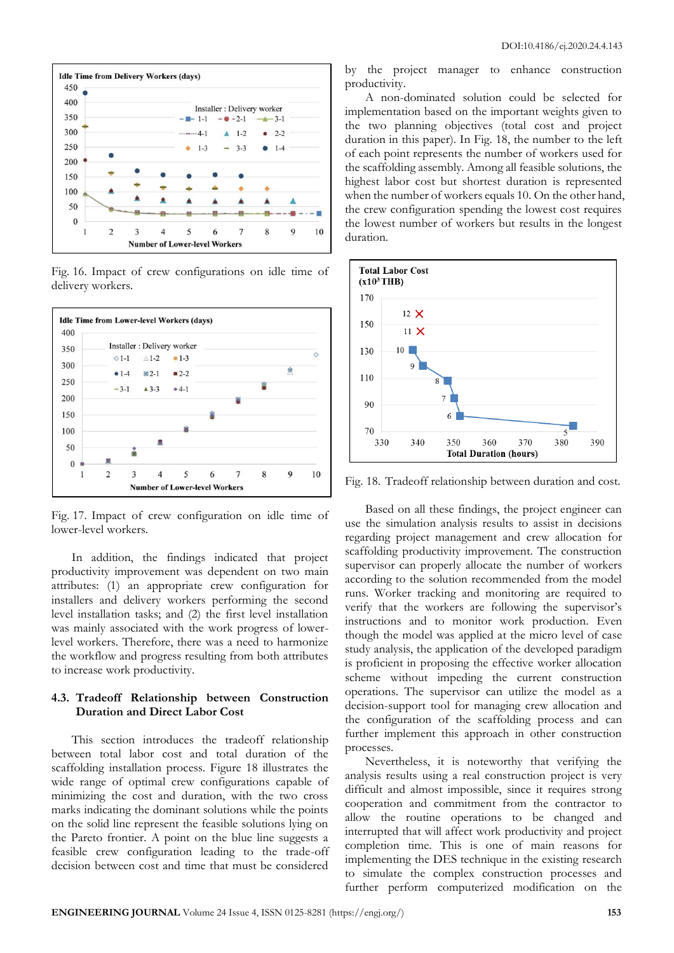

Fig. 16. Impact of crew configurations on idle time of delivery workers.



Fig. 17. Impact of crew configuration on idle time of lower-level workers.

In addition, the findings indicated that project productivity improvement was dependent on two main attributes: (1) an appropriate crew configuration for installers and delivery workers performing the second level installation tasks; and (2) the first level installation was mainly associated with the work progress of lowerlevel workers. Therefore, there was a need to harmonize the workflow and progress resulting from both attributes to increase work productivity.

#### **4.3. Tradeoff Relationship between Construction Duration and Direct Labor Cost**

This section introduces the tradeoff relationship between total labor cost and total duration of the scaffolding installation process. Figure 18 illustrates the wide range of optimal crew configurations capable of minimizing the cost and duration, with the two cross marks indicating the dominant solutions while the points on the solid line represent the feasible solutions lying on the Pareto frontier. A point on the blue line suggests a feasible crew configuration leading to the trade-off decision between cost and time that must be considered by the project manager to enhance construction productivity.

A non-dominated solution could be selected for implementation based on the important weights given to the two planning objectives (total cost and project duration in this paper). In Fig. 18, the number to the left of each point represents the number of workers used for the scaffolding assembly. Among all feasible solutions, the highest labor cost but shortest duration is represented when the number of workers equals 10. On the other hand, the crew configuration spending the lowest cost requires the lowest number of workers but results in the longest duration.



Fig. 18. Tradeoff relationship between duration and cost.

Based on all these findings, the project engineer can use the simulation analysis results to assist in decisions regarding project management and crew allocation for scaffolding productivity improvement. The construction supervisor can properly allocate the number of workers according to the solution recommended from the model runs. Worker tracking and monitoring are required to verify that the workers are following the supervisor's instructions and to monitor work production. Even though the model was applied at the micro level of case study analysis, the application of the developed paradigm is proficient in proposing the effective worker allocation scheme without impeding the current construction operations. The supervisor can utilize the model as a decision-support tool for managing crew allocation and the configuration of the scaffolding process and can further implement this approach in other construction processes.

Nevertheless, it is noteworthy that verifying the analysis results using a real construction project is very difficult and almost impossible, since it requires strong cooperation and commitment from the contractor to allow the routine operations to be changed and interrupted that will affect work productivity and project completion time. This is one of main reasons for implementing the DES technique in the existing research to simulate the complex construction processes and further perform computerized modification on the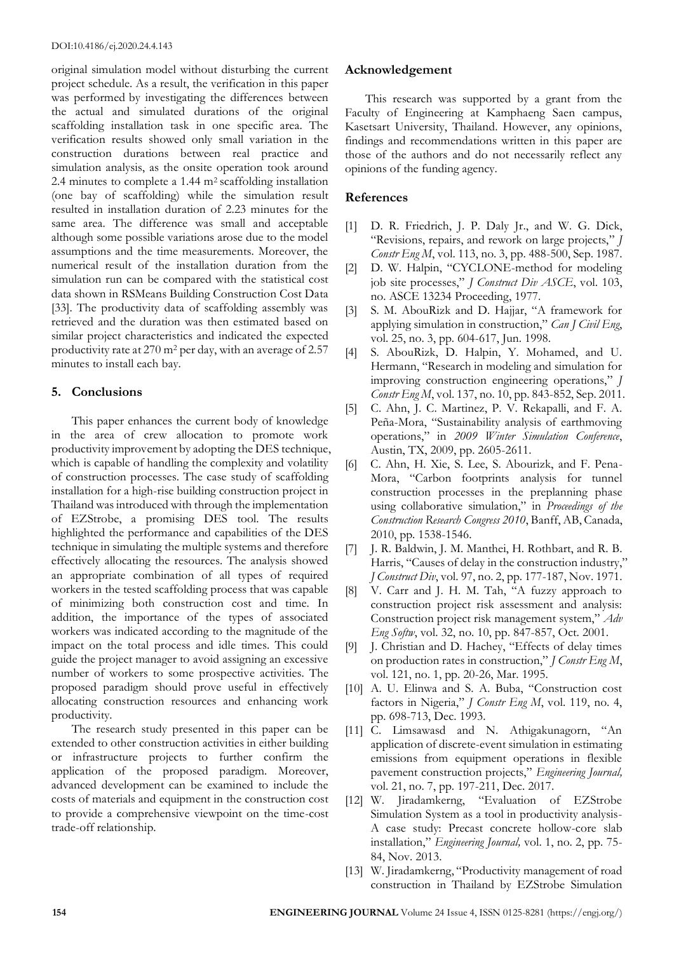original simulation model without disturbing the current project schedule. As a result, the verification in this paper was performed by investigating the differences between the actual and simulated durations of the original scaffolding installation task in one specific area. The verification results showed only small variation in the construction durations between real practice and simulation analysis, as the onsite operation took around 2.4 minutes to complete a 1.44  $m<sup>2</sup>$  scaffolding installation (one bay of scaffolding) while the simulation result resulted in installation duration of 2.23 minutes for the same area. The difference was small and acceptable although some possible variations arose due to the model assumptions and the time measurements. Moreover, the numerical result of the installation duration from the simulation run can be compared with the statistical cost data shown in RSMeans Building Construction Cost Data [33]. The productivity data of scaffolding assembly was retrieved and the duration was then estimated based on similar project characteristics and indicated the expected productivity rate at 270 m<sup>2</sup> per day, with an average of 2.57 minutes to install each bay.

## **5. Conclusions**

This paper enhances the current body of knowledge in the area of crew allocation to promote work productivity improvement by adopting the DES technique, which is capable of handling the complexity and volatility of construction processes. The case study of scaffolding installation for a high-rise building construction project in Thailand was introduced with through the implementation of EZStrobe, a promising DES tool. The results highlighted the performance and capabilities of the DES technique in simulating the multiple systems and therefore effectively allocating the resources. The analysis showed an appropriate combination of all types of required workers in the tested scaffolding process that was capable of minimizing both construction cost and time. In addition, the importance of the types of associated workers was indicated according to the magnitude of the impact on the total process and idle times. This could guide the project manager to avoid assigning an excessive number of workers to some prospective activities. The proposed paradigm should prove useful in effectively allocating construction resources and enhancing work productivity.

The research study presented in this paper can be extended to other construction activities in either building or infrastructure projects to further confirm the application of the proposed paradigm. Moreover, advanced development can be examined to include the costs of materials and equipment in the construction cost to provide a comprehensive viewpoint on the time-cost trade-off relationship.

## **Acknowledgement**

This research was supported by a grant from the Faculty of Engineering at Kamphaeng Saen campus, Kasetsart University, Thailand. However, any opinions, findings and recommendations written in this paper are those of the authors and do not necessarily reflect any opinions of the funding agency.

## **References**

- [1] D. R. Friedrich, J. P. Daly Jr., and W. G. Dick, "Revisions, repairs, and rework on large projects," *J Constr Eng M*, vol. 113, no. 3, pp. 488-500, Sep. 1987.
- [2] D. W. Halpin, "CYCLONE-method for modeling job site processes," *J Construct Div ASCE*, vol. 103, no. ASCE 13234 Proceeding, 1977.
- [3] S. M. AbouRizk and D. Hajjar, "A framework for applying simulation in construction," *Can J Civil Eng*, vol. 25, no. 3, pp. 604-617, Jun. 1998.
- [4] S. AbouRizk, D. Halpin, Y. Mohamed, and U. Hermann, "Research in modeling and simulation for improving construction engineering operations," *J Constr Eng M*, vol. 137, no. 10, pp. 843-852, Sep. 2011.
- [5] C. Ahn, J. C. Martinez, P. V. Rekapalli, and F. A. Peña-Mora, "Sustainability analysis of earthmoving operations," in *2009 Winter Simulation Conference*, Austin, TX, 2009, pp. 2605-2611.
- [6] C. Ahn, H. Xie, S. Lee, S. Abourizk, and F. Pena-Mora, "Carbon footprints analysis for tunnel construction processes in the preplanning phase using collaborative simulation," in *Proceedings of the Construction Research Congress 2010*, Banff, AB, Canada, 2010, pp. 1538-1546.
- [7] J. R. Baldwin, J. M. Manthei, H. Rothbart, and R. B. Harris, "Causes of delay in the construction industry," *J Construct Div*, vol. 97, no. 2, pp. 177-187, Nov. 1971.
- [8] V. Carr and J. H. M. Tah, "A fuzzy approach to construction project risk assessment and analysis: Construction project risk management system," *Adv Eng Softw*, vol. 32, no. 10, pp. 847-857, Oct. 2001.
- [9] J. Christian and D. Hachey, "Effects of delay times on production rates in construction," *J Constr Eng M*, vol. 121, no. 1, pp. 20-26, Mar. 1995.
- [10] A. U. Elinwa and S. A. Buba, "Construction cost factors in Nigeria," *J Constr Eng M*, vol. 119, no. 4, pp. 698-713, Dec. 1993.
- [11] C. Limsawasd and N. Athigakunagorn, "An application of discrete-event simulation in estimating emissions from equipment operations in flexible pavement construction projects," *Engineering Journal,* vol. 21, no. 7, pp. 197-211, Dec. 2017.
- [12] W. Jiradamkerng, "Evaluation of EZStrobe Simulation System as a tool in productivity analysis-A case study: Precast concrete hollow-core slab installation," *Engineering Journal,* vol. 1, no. 2, pp. 75- 84, Nov. 2013.
- [13] W. Jiradamkerng, "Productivity management of road construction in Thailand by EZStrobe Simulation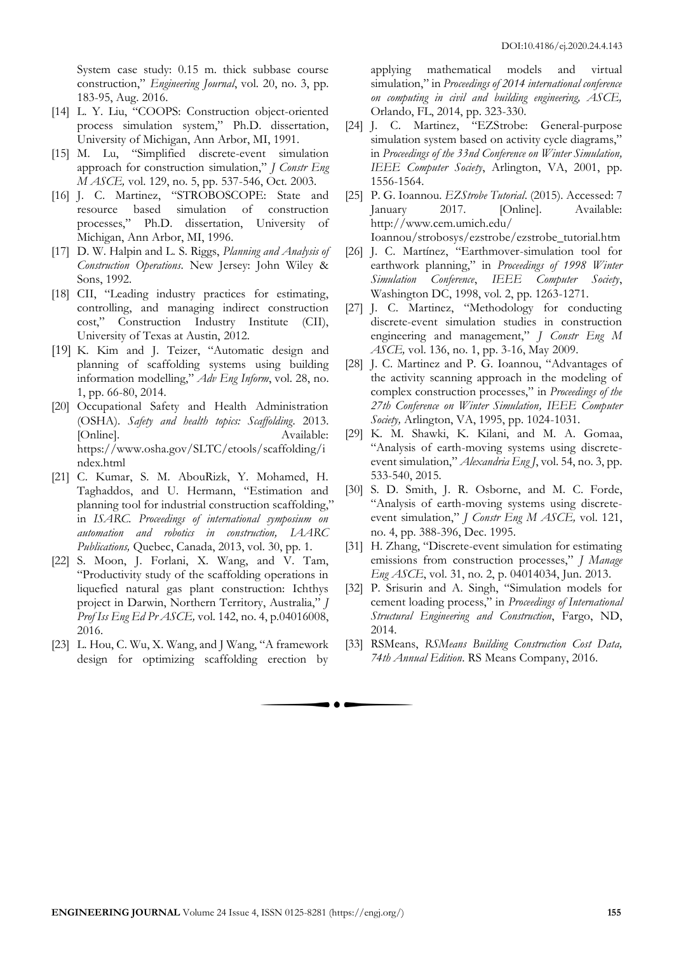System case study: 0.15 m. thick subbase course construction," *Engineering Journal*, vol. 20, no. 3, pp. 183-95, Aug. 2016.

- [14] L. Y. Liu, "COOPS: Construction object-oriented process simulation system," Ph.D. dissertation, University of Michigan, Ann Arbor, MI, 1991.
- [15] M. Lu, "Simplified discrete-event simulation approach for construction simulation," *J Constr Eng M ASCE,* vol. 129, no. 5, pp. 537-546, Oct. 2003.
- [16] J. C. Martinez, "STROBOSCOPE: State and resource based simulation of construction processes," Ph.D. dissertation, University of Michigan, Ann Arbor, MI, 1996.
- [17] D. W. Halpin and L. S. Riggs, *Planning and Analysis of Construction Operations*. New Jersey: John Wiley & Sons, 1992.
- [18] CII, "Leading industry practices for estimating, controlling, and managing indirect construction cost," Construction Industry Institute (CII), University of Texas at Austin, 2012.
- [19] K. Kim and J. Teizer, "Automatic design and planning of scaffolding systems using building information modelling," *Adv Eng Inform*, vol. 28, no. 1, pp. 66-80, 2014.
- [20] Occupational Safety and Health Administration (OSHA). *Safety and health topics: Scaffolding*. 2013. [Online]. Available: https://www.osha.gov/SLTC/etools/scaffolding/i ndex.html
- [21] C. Kumar, S. M. AbouRizk, Y. Mohamed, H. Taghaddos, and U. Hermann, "Estimation and planning tool for industrial construction scaffolding," in *ISARC. Proceedings of international symposium on automation and robotics in construction, IAARC Publications,* Quebec, Canada, 2013, vol. 30, pp. 1.
- [22] S. Moon, J. Forlani, X. Wang, and V. Tam, "Productivity study of the scaffolding operations in liquefied natural gas plant construction: Ichthys project in Darwin, Northern Territory, Australia," *J Prof Iss Eng Ed Pr ASCE,* vol. 142, no. 4, p.04016008, 2016.
- [23] L. Hou, C. Wu, X. Wang, and J Wang, "A framework design for optimizing scaffolding erection by

applying mathematical models and virtual simulation," in *Proceedings of 2014 international conference on computing in civil and building engineering, ASCE,*  Orlando, FL, 2014, pp. 323-330.

- [24] J. C. Martinez, "EZStrobe: General-purpose simulation system based on activity cycle diagrams," in *Proceedings of the 33nd Conference on Winter Simulation, IEEE Computer Society*, Arlington, VA, 2001, pp. 1556-1564.
- [25] P. G. Ioannou. *EZStrobe Tutorial*. (2015). Accessed: 7 January 2017. [Online]. Available: http://www.cem.umich.edu/ Ioannou/strobosys/ezstrobe/ezstrobe\_tutorial.htm
- [26] J. C. Martínez, "Earthmover-simulation tool for earthwork planning," in *Proceedings of 1998 Winter Simulation Conference*, *IEEE Computer Society*, Washington DC, 1998, vol. 2, pp. 1263-1271.
- [27] J. C. Martinez, "Methodology for conducting discrete-event simulation studies in construction engineering and management," *J Constr Eng M ASCE,* vol. 136, no. 1, pp. 3-16, May 2009.
- [28] J. C. Martinez and P. G. Ioannou, "Advantages of the activity scanning approach in the modeling of complex construction processes," in *Proceedings of the 27th Conference on Winter Simulation, IEEE Computer Society,* Arlington, VA, 1995, pp. 1024-1031.
- [29] K. M. Shawki, K. Kilani, and M. A. Gomaa, "Analysis of earth-moving systems using discreteevent simulation," *Alexandria Eng J*, vol. 54, no. 3, pp. 533-540, 2015.
- [30] S. D. Smith, J. R. Osborne, and M. C. Forde, "Analysis of earth-moving systems using discreteevent simulation," *J Constr Eng M ASCE,* vol. 121, no. 4, pp. 388-396, Dec. 1995.
- [31] H. Zhang, "Discrete-event simulation for estimating emissions from construction processes," *J Manage Eng ASCE*, vol. 31, no. 2, p. 04014034, Jun. 2013.
- [32] P. Srisurin and A. Singh, "Simulation models for cement loading process," in *Proceedings of International Structural Engineering and Construction*, Fargo, ND, 2014.
- [33] RSMeans, *RSMeans Building Construction Cost Data, 74th Annual Edition*. RS Means Company, 2016.